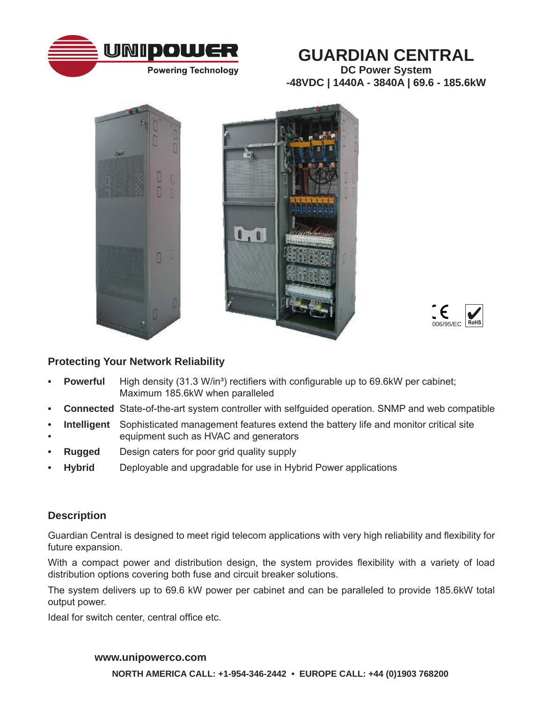

## **GUARDIAN CENTRAL**

**DC Power System -48VDC | 1440A - 3840A | 69.6 - 185.6kW**





## **Protecting Your Network Reliability**

- **Powerful** High density (31.3 W/in<sup>3</sup>) rectifiers with configurable up to 69.6kW per cabinet; Maximum 185.6kW when paralleled
- **• Connected** State-of-the-art system controller with selfguided operation. SNMP and web compatible
- **• Intelligent** Sophisticated management features extend the battery life and monitor critical site • equipment such as HVAC and generators
- **• Rugged** Design caters for poor grid quality supply
- **• Hybrid** Deployable and upgradable for use in Hybrid Power applications

## **Description**

Guardian Central is designed to meet rigid telecom applications with very high reliability and flexibility for future expansion.

With a compact power and distribution design, the system provides flexibility with a variety of load distribution options covering both fuse and circuit breaker solutions.

The system delivers up to 69.6 kW power per cabinet and can be paralleled to provide 185.6kW total output power.

Ideal for switch center, central office etc.

## **[www.unipowerco.com](http://www.unipowerco.com)**